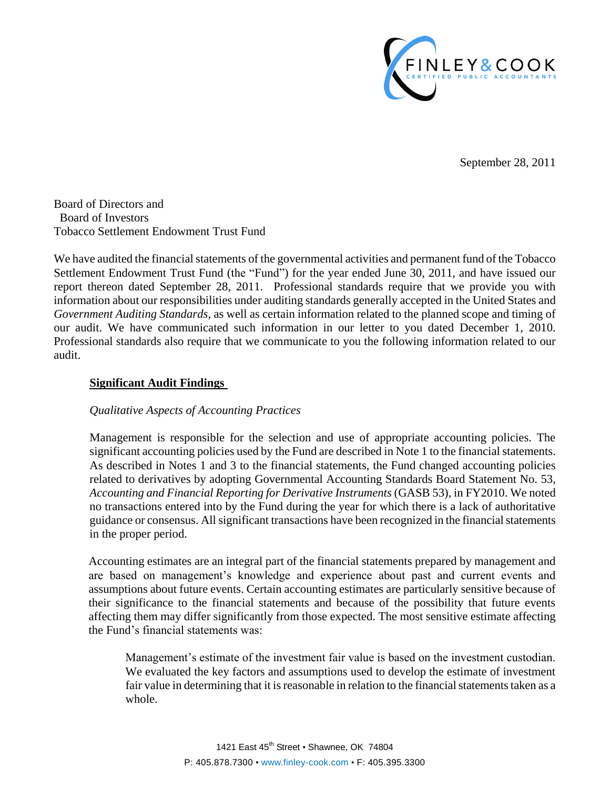

September 28, 2011

Board of Directors and Board of Investors Tobacco Settlement Endowment Trust Fund

We have audited the financial statements of the governmental activities and permanent fund of the Tobacco Settlement Endowment Trust Fund (the "Fund") for the year ended June 30, 2011, and have issued our report thereon dated September 28, 2011. Professional standards require that we provide you with information about our responsibilities under auditing standards generally accepted in the United States and *Government Auditing Standards*, as well as certain information related to the planned scope and timing of our audit. We have communicated such information in our letter to you dated December 1, 2010. Professional standards also require that we communicate to you the following information related to our audit.

## **Significant Audit Findings**

## *Qualitative Aspects of Accounting Practices*

Management is responsible for the selection and use of appropriate accounting policies. The significant accounting policies used by the Fund are described in Note 1 to the financial statements. As described in Notes 1 and 3 to the financial statements, the Fund changed accounting policies related to derivatives by adopting Governmental Accounting Standards Board Statement No. 53, *Accounting and Financial Reporting for Derivative Instruments* (GASB 53), in FY2010. We noted no transactions entered into by the Fund during the year for which there is a lack of authoritative guidance or consensus. All significant transactions have been recognized in the financial statements in the proper period.

Accounting estimates are an integral part of the financial statements prepared by management and are based on management's knowledge and experience about past and current events and assumptions about future events. Certain accounting estimates are particularly sensitive because of their significance to the financial statements and because of the possibility that future events affecting them may differ significantly from those expected. The most sensitive estimate affecting the Fund's financial statements was:

Management's estimate of the investment fair value is based on the investment custodian. We evaluated the key factors and assumptions used to develop the estimate of investment fair value in determining that it is reasonable in relation to the financial statements taken as a whole.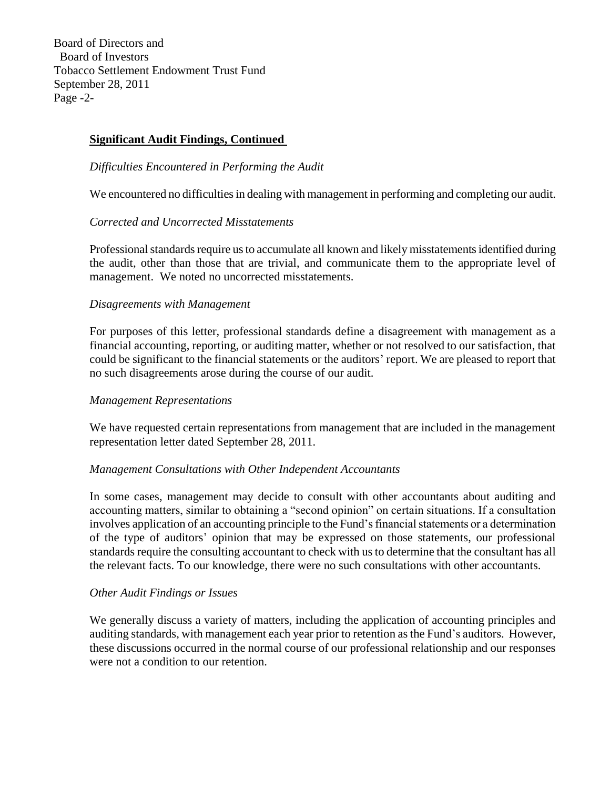Board of Directors and Board of Investors Tobacco Settlement Endowment Trust Fund September 28, 2011 Page -2-

# **Significant Audit Findings, Continued**

*Difficulties Encountered in Performing the Audit*

We encountered no difficulties in dealing with management in performing and completing our audit.

## *Corrected and Uncorrected Misstatements*

Professional standards require us to accumulate all known and likely misstatements identified during the audit, other than those that are trivial, and communicate them to the appropriate level of management. We noted no uncorrected misstatements.

## *Disagreements with Management*

For purposes of this letter, professional standards define a disagreement with management as a financial accounting, reporting, or auditing matter, whether or not resolved to our satisfaction, that could be significant to the financial statements or the auditors' report. We are pleased to report that no such disagreements arose during the course of our audit.

#### *Management Representations*

We have requested certain representations from management that are included in the management representation letter dated September 28, 2011.

#### *Management Consultations with Other Independent Accountants*

In some cases, management may decide to consult with other accountants about auditing and accounting matters, similar to obtaining a "second opinion" on certain situations. If a consultation involves application of an accounting principle to the Fund's financial statements or a determination of the type of auditors' opinion that may be expressed on those statements, our professional standards require the consulting accountant to check with us to determine that the consultant has all the relevant facts. To our knowledge, there were no such consultations with other accountants.

#### *Other Audit Findings or Issues*

We generally discuss a variety of matters, including the application of accounting principles and auditing standards, with management each year prior to retention as the Fund's auditors. However, these discussions occurred in the normal course of our professional relationship and our responses were not a condition to our retention.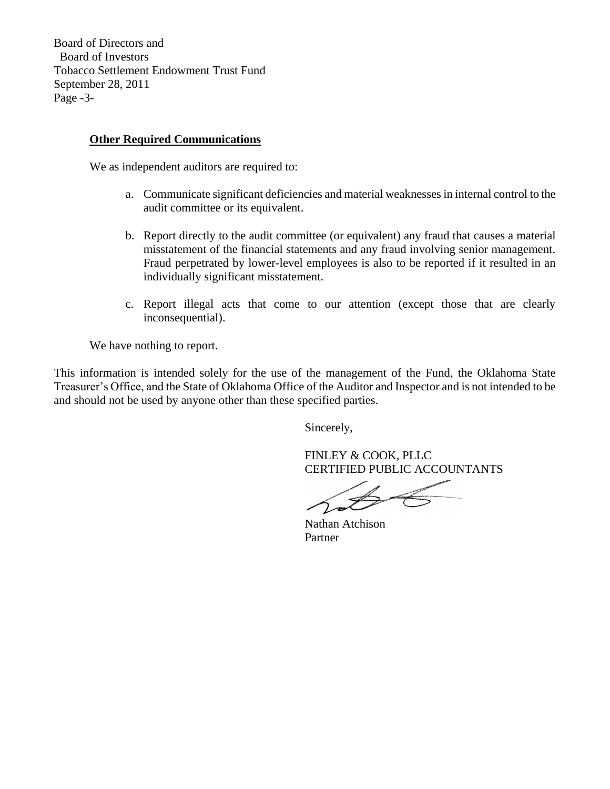Board of Directors and Board of Investors Tobacco Settlement Endowment Trust Fund September 28, 2011 Page -3-

# **Other Required Communications**

We as independent auditors are required to:

- a. Communicate significant deficiencies and material weaknesses in internal control to the audit committee or its equivalent.
- b. Report directly to the audit committee (or equivalent) any fraud that causes a material misstatement of the financial statements and any fraud involving senior management. Fraud perpetrated by lower-level employees is also to be reported if it resulted in an individually significant misstatement.
- c. Report illegal acts that come to our attention (except those that are clearly inconsequential).

We have nothing to report.

This information is intended solely for the use of the management of the Fund, the Oklahoma State Treasurer's Office, and the State of Oklahoma Office of the Auditor and Inspector and is not intended to be and should not be used by anyone other than these specified parties.

Sincerely,

FINLEY & COOK, PLLC CERTIFIED PUBLIC ACCOUNTANTS

Nathan Atchison Partner